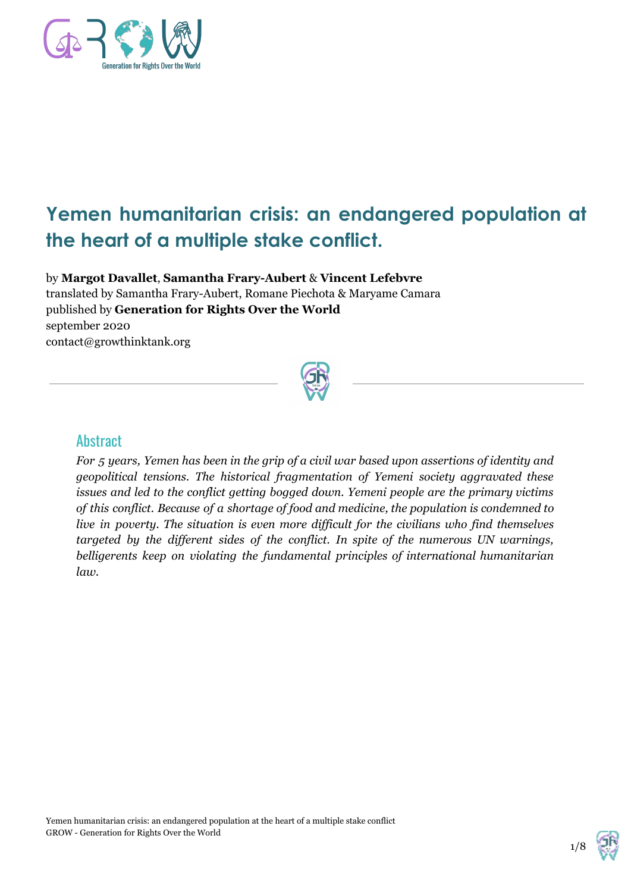

# **Yemen humanitarian crisis: an endangered population at the heart of a multiple stake conflict.**

by **Margot Davallet**, **Samantha Frary-Aubert** & **Vincent Lefebvre** translated by Samantha Frary-Aubert, Romane Piechota & Maryame Camara published by **Generation for Rights Over the World** september 2020 contact@growthinktank.org



#### **Abstract**

For 5 years, Yemen has been in the grip of a civil war based upon assertions of identity and *geopolitical tensions. The historical fragmentation of Yemeni society aggravated these issues and led to the conflict getting bogged down. Yemeni people are the primary victims of this conflict. Because of a shortage of food and medicine, the population is condemned to live in poverty. The situation is even more dif icult for the civilians who find themselves targeted by the dif erent sides of the conflict. In spite of the numerous UN warnings, belligerents keep on violating the fundamental principles of international humanitarian law.*

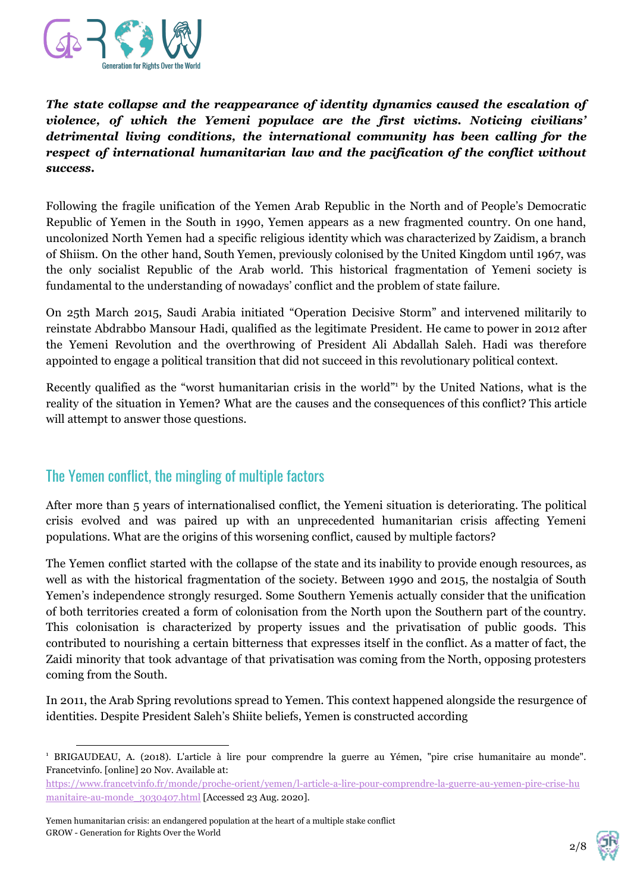

*The state collapse and the reappearance of identity dynamics caused the escalation of violence, of which the Yemeni populace are the first victims. Noticing civilians' detrimental living conditions, the international community has been calling for the respect of international humanitarian law and the pacification of the conflict without success.*

Following the fragile unification of the Yemen Arab Republic in the North and of People's Democratic Republic of Yemen in the South in 1990, Yemen appears as a new fragmented country. On one hand, uncolonized North Yemen had a specific religious identity which was characterized by Zaidism, a branch of Shiism. On the other hand, South Yemen, previously colonised by the United Kingdom until 1967, was the only socialist Republic of the Arab world. This historical fragmentation of Yemeni society is fundamental to the understanding of nowadays' conflict and the problem of state failure.

On 25th March 2015, Saudi Arabia initiated "Operation Decisive Storm" and intervened militarily to reinstate Abdrabbo Mansour Hadi, qualified as the legitimate President. He came to power in 2012 after the Yemeni Revolution and the overthrowing of President Ali Abdallah Saleh. Hadi was therefore appointed to engage a political transition that did not succeed in this revolutionary political context.

Recently qualified as the "worst humanitarian crisis in the world" by the United Nations, what is the reality of the situation in Yemen? What are the causes and the consequences of this conflict? This article will attempt to answer those questions.

#### The Yemen conflict, the mingling of multiple factors

After more than 5 years of internationalised conflict, the Yemeni situation is deteriorating. The political crisis evolved and was paired up with an unprecedented humanitarian crisis affecting Yemeni populations. What are the origins of this worsening conflict, caused by multiple factors?

The Yemen conflict started with the collapse of the state and its inability to provide enough resources, as well as with the historical fragmentation of the society. Between 1990 and 2015, the nostalgia of South Yemen's independence strongly resurged. Some Southern Yemenis actually consider that the unification of both territories created a form of colonisation from the North upon the Southern part of the country. This colonisation is characterized by property issues and the privatisation of public goods. This contributed to nourishing a certain bitterness that expresses itself in the conflict. As a matter of fact, the Zaidi minority that took advantage of that privatisation was coming from the North, opposing protesters coming from the South.

In 2011, the Arab Spring revolutions spread to Yemen. This context happened alongside the resurgence of identities. Despite President Saleh's Shiite beliefs, Yemen is constructed according



<sup>1</sup> BRIGAUDEAU, A. (2018). L'article à lire pour comprendre la guerre au Yémen, "pire crise humanitaire au monde". Francetvinfo. [online] 20 Nov. Available at:

[https://www.francetvinfo.fr/monde/proche-orient/yemen/l-article-a-lire-pour-comprendre-la-guerre-au-yemen-pire-crise-hu](https://www.francetvinfo.fr/monde/proche-orient/yemen/l-article-a-lire-pour-comprendre-la-guerre-au-yemen-pire-crise-humanitaire-au-monde_3030407.html) [manitaire-au-monde\\_3030407.html](https://www.francetvinfo.fr/monde/proche-orient/yemen/l-article-a-lire-pour-comprendre-la-guerre-au-yemen-pire-crise-humanitaire-au-monde_3030407.html) [Accessed 23 Aug. 2020].

Yemen humanitarian crisis: an endangered population at the heart of a multiple stake conflict GROW - Generation for Rights Over the World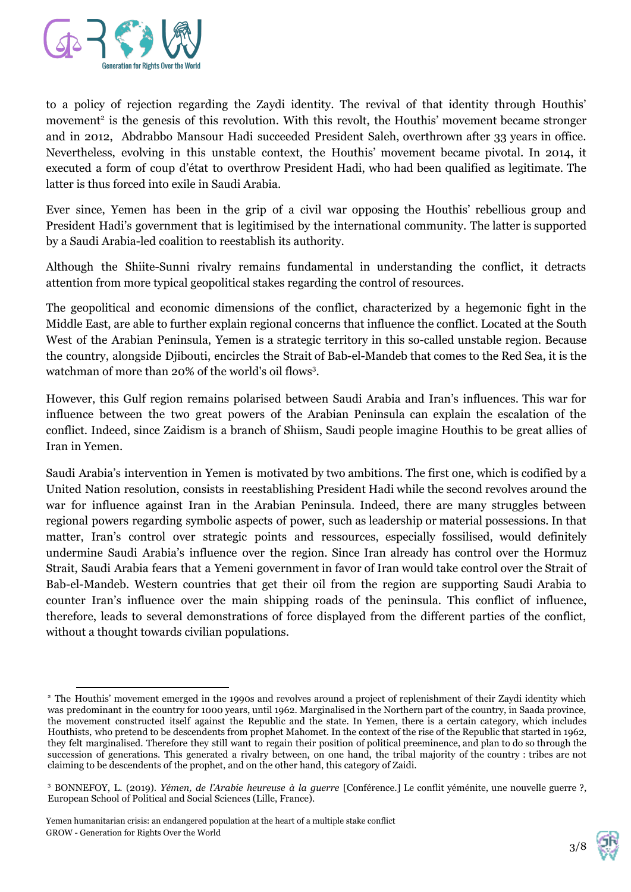

to a policy of rejection regarding the Zaydi identity. The revival of that identity through Houthis' movement<sup>2</sup> is the genesis of this revolution. With this revolt, the Houthis' movement became stronger and in 2012, Abdrabbo Mansour Hadi succeeded President Saleh, overthrown after 33 years in office. Nevertheless, evolving in this unstable context, the Houthis' movement became pivotal. In 2014, it executed a form of coup d'état to overthrow President Hadi, who had been qualified as legitimate. The latter is thus forced into exile in Saudi Arabia.

Ever since, Yemen has been in the grip of a civil war opposing the Houthis' rebellious group and President Hadi's government that is legitimised by the international community. The latter is supported by a Saudi Arabia-led coalition to reestablish its authority.

Although the Shiite-Sunni rivalry remains fundamental in understanding the conflict, it detracts attention from more typical geopolitical stakes regarding the control of resources.

The geopolitical and economic dimensions of the conflict, characterized by a hegemonic fight in the Middle East, are able to further explain regional concerns that influence the conflict. Located at the South West of the Arabian Peninsula, Yemen is a strategic territory in this so-called unstable region. Because the country, alongside Djibouti, encircles the Strait of Bab-el-Mandeb that comes to the Red Sea, it is the watchman of more than 20% of the world's oil flows<sup>3</sup>.

However, this Gulf region remains polarised between Saudi Arabia and Iran's influences. This war for influence between the two great powers of the Arabian Peninsula can explain the escalation of the conflict. Indeed, since Zaidism is a branch of Shiism, Saudi people imagine Houthis to be great allies of Iran in Yemen.

Saudi Arabia's intervention in Yemen is motivated by two ambitions. The first one, which is codified by a United Nation resolution, consists in reestablishing President Hadi while the second revolves around the war for influence against Iran in the Arabian Peninsula. Indeed, there are many struggles between regional powers regarding symbolic aspects of power, such as leadership or material possessions. In that matter, Iran's control over strategic points and ressources, especially fossilised, would definitely undermine Saudi Arabia's influence over the region. Since Iran already has control over the Hormuz Strait, Saudi Arabia fears that a Yemeni government in favor of Iran would take control over the Strait of Bab-el-Mandeb. Western countries that get their oil from the region are supporting Saudi Arabia to counter Iran's influence over the main shipping roads of the peninsula. This conflict of influence, therefore, leads to several demonstrations of force displayed from the different parties of the conflict, without a thought towards civilian populations.



<sup>&</sup>lt;sup>2</sup> The Houthis' movement emerged in the 1990s and revolves around a project of replenishment of their Zaydi identity which was predominant in the country for 1000 years, until 1962. Marginalised in the Northern part of the country, in Saada province, the movement constructed itself against the Republic and the state. In Yemen, there is a certain category, which includes Houthists, who pretend to be descendents from prophet Mahomet. In the context of the rise of the Republic that started in 1962, they felt marginalised. Therefore they still want to regain their position of political preeminence, and plan to do so through the succession of generations. This generated a rivalry between, on one hand, the tribal majority of the country : tribes are not claiming to be descendents of the prophet, and on the other hand, this category of Zaidi.

<sup>3</sup> BONNEFOY, L. (2019). *Yémen, de l'Arabie heureuse à la guerre* [Conférence.] Le conflit yéménite, une nouvelle guerre ?, European School of Political and Social Sciences (Lille, France).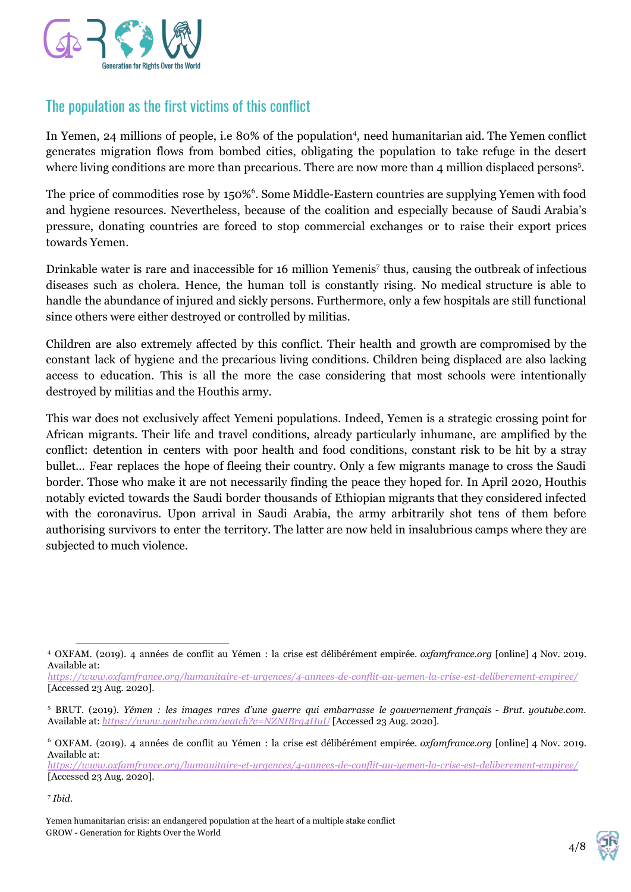

### The population as the first victims of this conflict

In Yemen, 24 millions of people, i.e 80% of the population<sup>4</sup>, need humanitarian aid. The Yemen conflict generates migration flows from bombed cities, obligating the population to take refuge in the desert where living conditions are more than precarious. There are now more than 4 million displaced persons<sup>5</sup>.

The price of commodities rose by 150%<sup>6</sup>. Some Middle-Eastern countries are supplying Yemen with food and hygiene resources. Nevertheless, because of the coalition and especially because of Saudi Arabia's pressure, donating countries are forced to stop commercial exchanges or to raise their export prices towards Yemen.

Drinkable water is rare and inaccessible for 16 million Yemenis<sup>7</sup> thus, causing the outbreak of infectious diseases such as cholera. Hence, the human toll is constantly rising. No medical structure is able to handle the abundance of injured and sickly persons. Furthermore, only a few hospitals are still functional since others were either destroyed or controlled by militias.

Children are also extremely affected by this conflict. Their health and growth are compromised by the constant lack of hygiene and the precarious living conditions. Children being displaced are also lacking access to education. This is all the more the case considering that most schools were intentionally destroyed by militias and the Houthis army.

This war does not exclusively affect Yemeni populations. Indeed, Yemen is a strategic crossing point for African migrants. Their life and travel conditions, already particularly inhumane, are amplified by the conflict: detention in centers with poor health and food conditions, constant risk to be hit by a stray bullet… Fear replaces the hope of fleeing their country. Only a few migrants manage to cross the Saudi border. Those who make it are not necessarily finding the peace they hoped for. In April 2020, Houthis notably evicted towards the Saudi border thousands of Ethiopian migrants that they considered infected with the coronavirus. Upon arrival in Saudi Arabia, the army arbitrarily shot tens of them before authorising survivors to enter the territory. The latter are now held in insalubrious camps where they are subjected to much violence.

*<https://www.oxfamfrance.org/humanitaire-et-urgences/4-annees-de-conflit-au-yemen-la-crise-est-deliberement-empiree/>* [Accessed 23 Aug. 2020].

Yemen humanitarian crisis: an endangered population at the heart of a multiple stake conflict GROW - Generation for Rights Over the World

<sup>4</sup> OXFAM. (2019). 4 années de conflit au Yémen : la crise est délibérément empirée. *oxfamfrance.org* [online] 4 Nov. 2019. Available at:

*<https://www.oxfamfrance.org/humanitaire-et-urgences/4-annees-de-conflit-au-yemen-la-crise-est-deliberement-empiree/>* [Accessed 23 Aug. 2020].

<sup>5</sup> BRUT. (2019). *Yémen : les images rares d'une guerre qui embarrasse le gouvernement français - Brut. youtube.com.* Available at: *<https://www.youtube.com/watch?v=NZNIBrg4HuU>* [Accessed 23 Aug. 2020].

<sup>6</sup> OXFAM. (2019). 4 années de conflit au Yémen : la crise est délibérément empirée. *oxfamfrance.org* [online] 4 Nov. 2019. Available at:

<sup>7</sup> *Ibid.*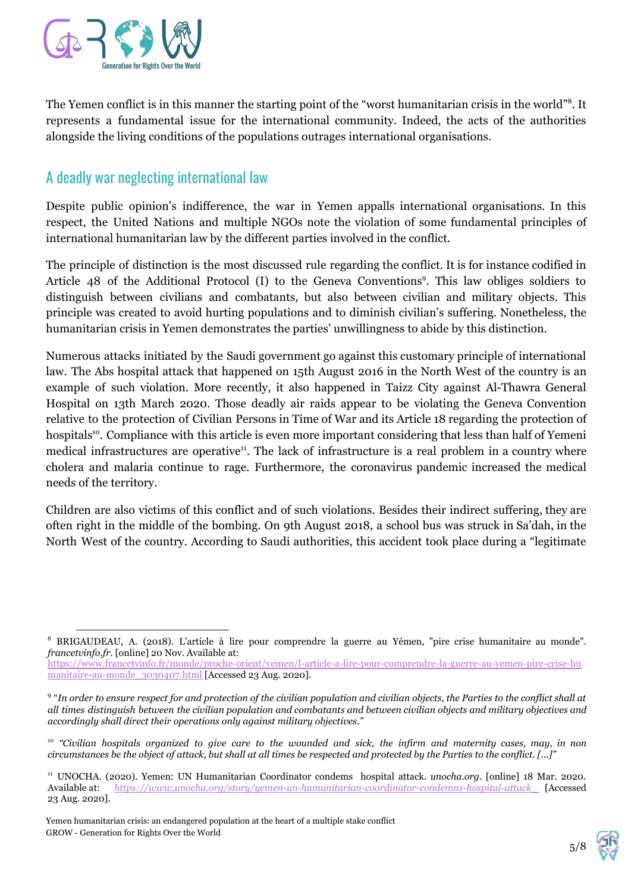

The Yemen conflict is in this manner the starting point of the "worst humanitarian crisis in the world"<sup>8</sup>. It represents a fundamental issue for the international community. Indeed, the acts of the authorities alongside the living conditions of the populations outrages international organisations.

### A deadly war neglecting international law

Despite public opinion's indifference, the war in Yemen appalls international organisations. In this respect, the United Nations and multiple NGOs note the violation of some fundamental principles of international humanitarian law by the different parties involved in the conflict.

The principle of distinction is the most discussed rule regarding the conflict. It is for instance codified in Article 48 of the Additional Protocol (I) to the Geneva Conventions<sup>9</sup>. This law obliges soldiers to distinguish between civilians and combatants, but also between civilian and military objects. This principle was created to avoid hurting populations and to diminish civilian's suffering. Nonetheless, the humanitarian crisis in Yemen demonstrates the parties' unwillingness to abide by this distinction.

Numerous attacks initiated by the Saudi government go against this customary principle of international law. The Abs hospital attack that happened on 15th August 2016 in the North West of the country is an example of such violation. More recently, it also happened in Taizz City against Al-Thawra General Hospital on 13th March 2020. Those deadly air raids appear to be violating the Geneva Convention relative to the protection of Civilian Persons in Time of War and its Article 18 regarding the protection of hospitals<sup>10</sup>. Compliance with this article is even more important considering that less than half of Yemeni medical infrastructures are operative<sup>11</sup>. The lack of infrastructure is a real problem in a country where cholera and malaria continue to rage. Furthermore, the coronavirus pandemic increased the medical needs of the territory.

Children are also victims of this conflict and of such violations. Besides their indirect suffering, they are often right in the middle of the bombing. On 9th August 2018, a school bus was struck in Sa'dah, in the North West of the country. According to Saudi authorities, this accident took place during a "legitimate



<sup>8</sup> BRIGAUDEAU, A. (2018). L'article à lire pour comprendre la guerre au Yémen, "pire crise humanitaire au monde". *francetvinfo.fr.* [online] 20 Nov. Available at:

[https://www.francetvinfo.fr/monde/proche-orient/yemen/l-article-a-lire-pour-comprendre-la-guerre-au-yemen-pire-crise-hu](https://www.francetvinfo.fr/monde/proche-orient/yemen/l-article-a-lire-pour-comprendre-la-guerre-au-yemen-pire-crise-humanitaire-au-monde_3030407.html) [manitaire-au-monde\\_3030407.html](https://www.francetvinfo.fr/monde/proche-orient/yemen/l-article-a-lire-pour-comprendre-la-guerre-au-yemen-pire-crise-humanitaire-au-monde_3030407.html) [Accessed 23 Aug. 2020].

 $9$  "In order to ensure respect for and protection of the civilian population and civilian objects, the Parties to the conflict shall at all times distinguish between the civilian population and combatants and between civilian objects and military objectives and *accordingly shall direct their operations only against military objectives."*

<sup>&</sup>lt;sup>10</sup> "Civilian hospitals organized to give care to the wounded and sick, the infirm and maternity cases, may, in non *circumstances be the object of attack, but shall at all times be respected and protected by the Parties to the conflict. [...]"*

<sup>11</sup> UNOCHA. (2020). Yemen: UN Humanitarian Coordinator condems hospital attack. *unocha.org*. [online] 18 Mar. 2020. Available at: *<https://www.unocha.org/story/yemen-un-humanitarian-coordinator-condemns-hospital-attack>* [Accessed 23 Aug. 2020].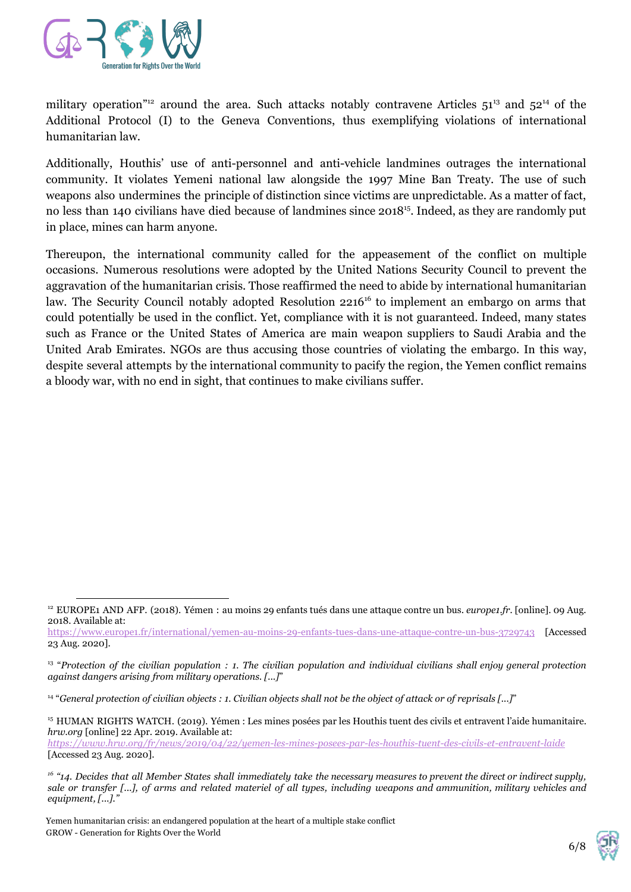

military operation<sup>"12</sup> around the area. Such attacks notably contravene Articles  $51^{13}$  and  $52^{14}$  of the Additional Protocol (I) to the Geneva Conventions, thus exemplifying violations of international humanitarian law.

Additionally, Houthis' use of anti-personnel and anti-vehicle landmines outrages the international community. It violates Yemeni national law alongside the 1997 Mine Ban Treaty. The use of such weapons also undermines the principle of distinction since victims are unpredictable. As a matter of fact, no less than 140 civilians have died because of landmines since 2018<sup>15</sup>. Indeed, as they are randomly put in place, mines can harm anyone.

Thereupon, the international community called for the appeasement of the conflict on multiple occasions. Numerous resolutions were adopted by the United Nations Security Council to prevent the aggravation of the humanitarian crisis. Those reaffirmed the need to abide by international humanitarian law. The Security Council notably adopted Resolution 2216<sup>16</sup> to implement an embargo on arms that could potentially be used in the conflict. Yet, compliance with it is not guaranteed. Indeed, many states such as France or the United States of America are main weapon suppliers to Saudi Arabia and the United Arab Emirates. NGOs are thus accusing those countries of violating the embargo. In this way, despite several attempts by the international community to pacify the region, the Yemen conflict remains a bloody war, with no end in sight, that continues to make civilians suffer.

14 "*General protection of civilian objects : 1. Civilian objects shall not be the object of attack or of reprisals [...]*"

<sup>12</sup> EUROPE1 AND AFP. (2018). Yémen : au moins 29 enfants tués dans une attaque contre un bus. *europe1.fr.* [online]. 09 Aug. 2018. Available at:

<https://www.europe1.fr/international/yemen-au-moins-29-enfants-tues-dans-une-attaque-contre-un-bus-3729743> [Accessed 23 Aug. 2020].

 $^{13}$  "Protection of the civilian population : 1. The civilian population and individual civilians shall enjoy general protection *against dangers arising from military operations. [...]*"

<sup>&</sup>lt;sup>15</sup> HUMAN RIGHTS WATCH. (2019). Yémen : Les mines posées par les Houthis tuent des civils et entravent l'aide humanitaire. *hrw.org* [online] 22 Apr. 2019. Available at:

*<https://www.hrw.org/fr/news/2019/04/22/yemen-les-mines-posees-par-les-houthis-tuent-des-civils-et-entravent-laide>* [Accessed 23 Aug. 2020].

 $^{16}$  "14. Decides that all Member States shall immediately take the necessary measures to prevent the direct or indirect supply, sale or transfer [...], of arms and related materiel of all types, including weapons and ammunition, military vehicles and *equipment, [...]."*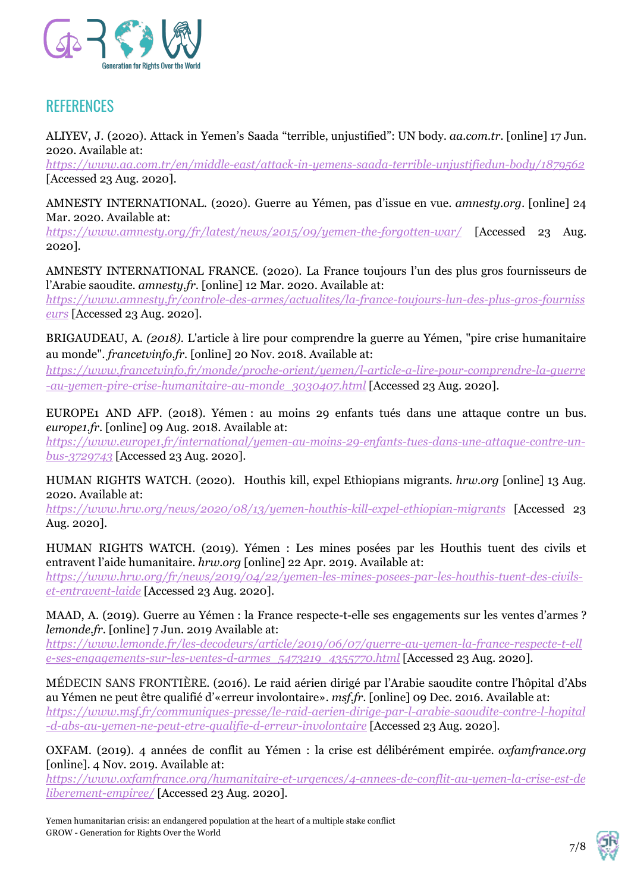

## **REFERENCES**

ALIYEV, J. (2020). Attack in Yemen's Saada "terrible, unjustified": UN body. *aa.com.tr*. [online] 17 Jun. 2020. Available at:

*<https://www.aa.com.tr/en/middle-east/attack-in-yemens-saada-terrible-unjustifiedun-body/1879562>* [Accessed 23 Aug. 2020].

AMNESTY INTERNATIONAL. (2020). Guerre au Yémen, pas d'issue en vue. *amnesty.org*. [online] 24 Mar. 2020. Available at:

*<https://www.amnesty.org/fr/latest/news/2015/09/yemen-the-forgotten-war/>* [Accessed 23 Aug. 2020].

AMNESTY INTERNATIONAL FRANCE. (2020). La France toujours l'un des plus gros fournisseurs de l'Arabie saoudite. *amnesty.fr*. [online] 12 Mar. 2020. Available at:

*[https://www.amnesty.fr/controle-des-armes/actualites/la-france-toujours-lun-des-plus-gros-fourniss](https://www.amnesty.fr/controle-des-armes/actualites/la-france-toujours-lun-des-plus-gros-fournisseurs) [eurs](https://www.amnesty.fr/controle-des-armes/actualites/la-france-toujours-lun-des-plus-gros-fournisseurs)* [Accessed 23 Aug. 2020].

BRIGAUDEAU, A. *(2018).* L'article à lire pour comprendre la guerre au Yémen, "pire crise humanitaire au monde". *francetvinfo.fr.* [online] 20 Nov. 2018. Available at:

*[https://www.francetvinfo.fr/monde/proche-orient/yemen/l-article-a-lire-pour-comprendre-la-guerre](https://www.francetvinfo.fr/monde/proche-orient/yemen/l-article-a-lire-pour-comprendre-la-guerre-au-yemen-pire-crise-humanitaire-au-monde_3030407.html) [-au-yemen-pire-crise-humanitaire-au-monde\\_3030407.html](https://www.francetvinfo.fr/monde/proche-orient/yemen/l-article-a-lire-pour-comprendre-la-guerre-au-yemen-pire-crise-humanitaire-au-monde_3030407.html)* [Accessed 23 Aug. 2020].

EUROPE1 AND AFP. (2018). Yémen : au moins 29 enfants tués dans une attaque contre un bus. *europe1.fr*. [online] 09 Aug. 2018. Available at:

*[https://www.europe1.fr/international/yemen-au-moins-29-enfants-tues-dans-une-attaque-contre-un](https://www.europe1.fr/international/yemen-au-moins-29-enfants-tues-dans-une-attaque-contre-un-bus-3729743)[bus-3729743](https://www.europe1.fr/international/yemen-au-moins-29-enfants-tues-dans-une-attaque-contre-un-bus-3729743)* [Accessed 23 Aug. 2020].

HUMAN RIGHTS WATCH. (2020). Houthis kill, expel Ethiopians migrants*. hrw.org* [online] 13 Aug. 2020. Available at:

*<https://www.hrw.org/news/2020/08/13/yemen-houthis-kill-expel-ethiopian-migrants>* [Accessed 23 Aug. 2020].

HUMAN RIGHTS WATCH. (2019). Yémen : Les mines posées par les Houthis tuent des civils et entravent l'aide humanitaire. *hrw.org* [online] 22 Apr. 2019. Available at:

*[https://www.hrw.org/fr/news/2019/04/22/yemen-les-mines-posees-par-les-houthis-tuent-des-civils](https://www.hrw.org/fr/news/2019/04/22/yemen-les-mines-posees-par-les-houthis-tuent-des-civils-et-entravent-laide)[et-entravent-laide](https://www.hrw.org/fr/news/2019/04/22/yemen-les-mines-posees-par-les-houthis-tuent-des-civils-et-entravent-laide)* [Accessed 23 Aug. 2020].

MAAD, A. (2019). Guerre au Yémen : la France respecte-t-elle ses engagements sur les ventes d'armes ? *lemonde.fr*. [online] 7 Jun. 2019 Available at:

*[https://www.lemonde.fr/les-decodeurs/article/2019/06/07/guerre-au-yemen-la-france-respecte-t-ell](https://www.lemonde.fr/les-decodeurs/article/2019/06/07/guerre-au-yemen-la-france-respecte-t-elle-ses-engagements-sur-les-ventes-d-armes_5473219_4355770.html) [e-ses-engagements-sur-les-ventes-d-armes\\_5473219\\_4355770.html](https://www.lemonde.fr/les-decodeurs/article/2019/06/07/guerre-au-yemen-la-france-respecte-t-elle-ses-engagements-sur-les-ventes-d-armes_5473219_4355770.html)* [Accessed 23 Aug. 2020].

MÉDECIN SANS FRONTIÈRE. (2016). Le raid aérien dirigé par l'Arabie saoudite contre l'hôpital d'Abs au Yémen ne peut être qualifié d'«erreur involontaire». *msf.fr*. [online] 09 Dec. 2016. Available at: *[https://www.msf.fr/communiques-presse/le-raid-aerien-dirige-par-l-arabie-saoudite-contre-l-hopital](https://www.msf.fr/communiques-presse/le-raid-aerien-dirige-par-l-arabie-saoudite-contre-l-hopital-d-abs-au-yemen-ne-peut-etre-qualifie-d-erreur-involontaire) [-d-abs-au-yemen-ne-peut-etre-qualifie-d-erreur-involontaire](https://www.msf.fr/communiques-presse/le-raid-aerien-dirige-par-l-arabie-saoudite-contre-l-hopital-d-abs-au-yemen-ne-peut-etre-qualifie-d-erreur-involontaire)* [Accessed 23 Aug. 2020].

OXFAM. (2019). 4 années de conflit au Yémen : la crise est délibérément empirée. *oxfamfrance.org* [online]. 4 Nov. 2019. Available at:

*[https://www.oxfamfrance.org/humanitaire-et-urgences/4-annees-de-conflit-au-yemen-la-crise-est-de](https://www.oxfamfrance.org/humanitaire-et-urgences/4-annees-de-conflit-au-yemen-la-crise-est-deliberement-empiree/) [liberement-empiree/](https://www.oxfamfrance.org/humanitaire-et-urgences/4-annees-de-conflit-au-yemen-la-crise-est-deliberement-empiree/)* [Accessed 23 Aug. 2020].

Yemen humanitarian crisis: an endangered population at the heart of a multiple stake conflict GROW - Generation for Rights Over the World